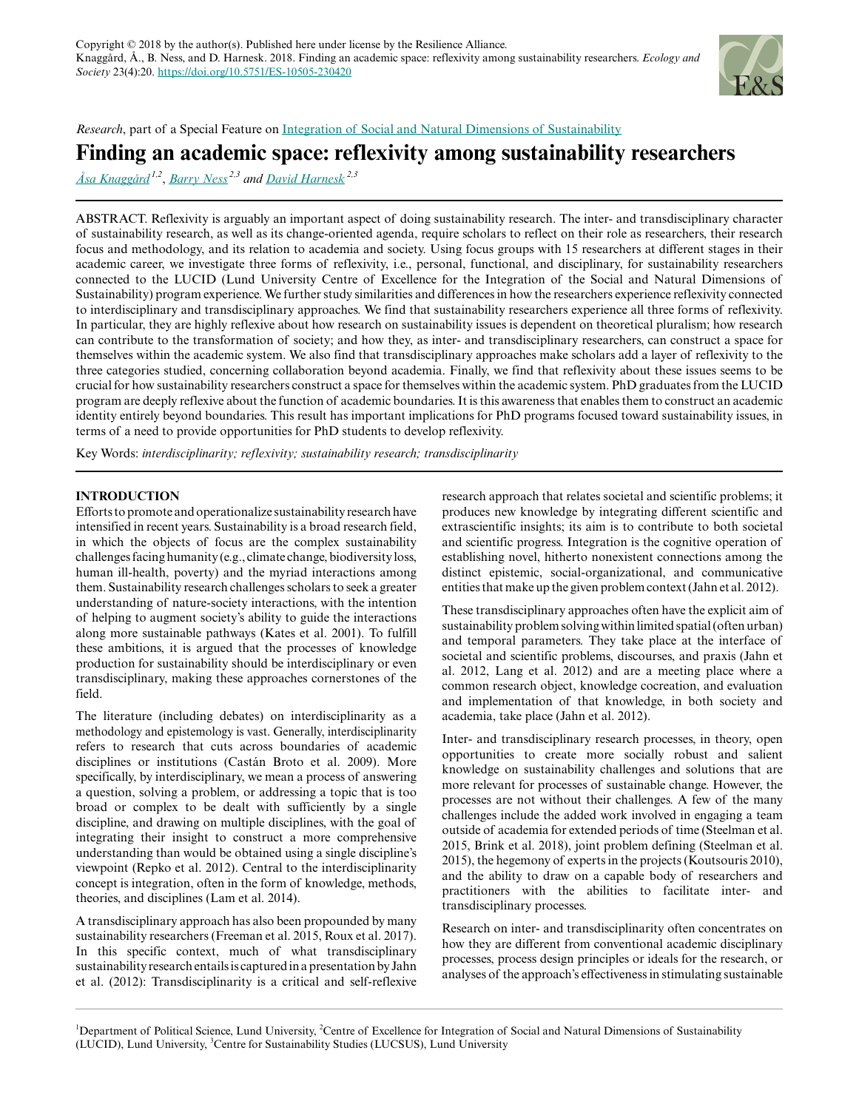

*Research*, part of a Special Feature on [Integration of Social and Natural Dimensions of Sustainability](https://www.ecologyandsociety.org/viewissue.php?sf=135)

# **Finding an academic space: reflexivity among sustainability researchers**

*[Åsa Knaggård](mailto:asa.knaggard@svet.lu.se) 1,2* , *[Barry Ness](mailto:barry.ness@lucsus.lu.se) 2,3 and [David Harnesk](mailto:david.harnesk@lucsus.lu.se) 2,3*

ABSTRACT. Reflexivity is arguably an important aspect of doing sustainability research. The inter- and transdisciplinary character of sustainability research, as well as its change-oriented agenda, require scholars to reflect on their role as researchers, their research focus and methodology, and its relation to academia and society. Using focus groups with 15 researchers at different stages in their academic career, we investigate three forms of reflexivity, i.e., personal, functional, and disciplinary, for sustainability researchers connected to the LUCID (Lund University Centre of Excellence for the Integration of the Social and Natural Dimensions of Sustainability) program experience. We further study similarities and differences in how the researchers experience reflexivity connected to interdisciplinary and transdisciplinary approaches. We find that sustainability researchers experience all three forms of reflexivity. In particular, they are highly reflexive about how research on sustainability issues is dependent on theoretical pluralism; how research can contribute to the transformation of society; and how they, as inter- and transdisciplinary researchers, can construct a space for themselves within the academic system. We also find that transdisciplinary approaches make scholars add a layer of reflexivity to the three categories studied, concerning collaboration beyond academia. Finally, we find that reflexivity about these issues seems to be crucial for how sustainability researchers construct a space for themselves within the academic system. PhD graduates from the LUCID program are deeply reflexive about the function of academic boundaries. It is this awareness that enables them to construct an academic identity entirely beyond boundaries. This result has important implications for PhD programs focused toward sustainability issues, in terms of a need to provide opportunities for PhD students to develop reflexivity.

Key Words: *interdisciplinarity; reflexivity; sustainability research; transdisciplinarity*

## **INTRODUCTION**

Efforts to promote and operationalize sustainability research have intensified in recent years. Sustainability is a broad research field, in which the objects of focus are the complex sustainability challenges facing humanity (e.g., climate change, biodiversity loss, human ill-health, poverty) and the myriad interactions among them. Sustainability research challenges scholars to seek a greater understanding of nature-society interactions, with the intention of helping to augment society's ability to guide the interactions along more sustainable pathways (Kates et al. 2001). To fulfill these ambitions, it is argued that the processes of knowledge production for sustainability should be interdisciplinary or even transdisciplinary, making these approaches cornerstones of the field.

The literature (including debates) on interdisciplinarity as a methodology and epistemology is vast. Generally, interdisciplinarity refers to research that cuts across boundaries of academic disciplines or institutions (Castán Broto et al. 2009). More specifically, by interdisciplinary, we mean a process of answering a question, solving a problem, or addressing a topic that is too broad or complex to be dealt with sufficiently by a single discipline, and drawing on multiple disciplines, with the goal of integrating their insight to construct a more comprehensive understanding than would be obtained using a single discipline's viewpoint (Repko et al. 2012). Central to the interdisciplinarity concept is integration, often in the form of knowledge, methods, theories, and disciplines (Lam et al. 2014).

A transdisciplinary approach has also been propounded by many sustainability researchers (Freeman et al. 2015, Roux et al. 2017). In this specific context, much of what transdisciplinary sustainability research entails is captured in a presentation by Jahn et al. (2012): Transdisciplinarity is a critical and self-reflexive research approach that relates societal and scientific problems; it produces new knowledge by integrating different scientific and extrascientific insights; its aim is to contribute to both societal and scientific progress. Integration is the cognitive operation of establishing novel, hitherto nonexistent connections among the distinct epistemic, social-organizational, and communicative entities that make up the given problem context (Jahn et al. 2012).

These transdisciplinary approaches often have the explicit aim of sustainability problem solving within limited spatial (often urban) and temporal parameters. They take place at the interface of societal and scientific problems, discourses, and praxis (Jahn et al. 2012, Lang et al. 2012) and are a meeting place where a common research object, knowledge cocreation, and evaluation and implementation of that knowledge, in both society and academia, take place (Jahn et al. 2012).

Inter- and transdisciplinary research processes, in theory, open opportunities to create more socially robust and salient knowledge on sustainability challenges and solutions that are more relevant for processes of sustainable change. However, the processes are not without their challenges. A few of the many challenges include the added work involved in engaging a team outside of academia for extended periods of time (Steelman et al. 2015, Brink et al. 2018), joint problem defining (Steelman et al. 2015), the hegemony of experts in the projects (Koutsouris 2010), and the ability to draw on a capable body of researchers and practitioners with the abilities to facilitate inter- and transdisciplinary processes.

Research on inter- and transdisciplinarity often concentrates on how they are different from conventional academic disciplinary processes, process design principles or ideals for the research, or analyses of the approach's effectiveness in stimulating sustainable

<sup>&</sup>lt;sup>1</sup>Department of Political Science, Lund University, <sup>2</sup>Centre of Excellence for Integration of Social and Natural Dimensions of Sustainability (LUCID), Lund University, <sup>3</sup>Centre for Sustainability Studies (LUCSUS), Lund University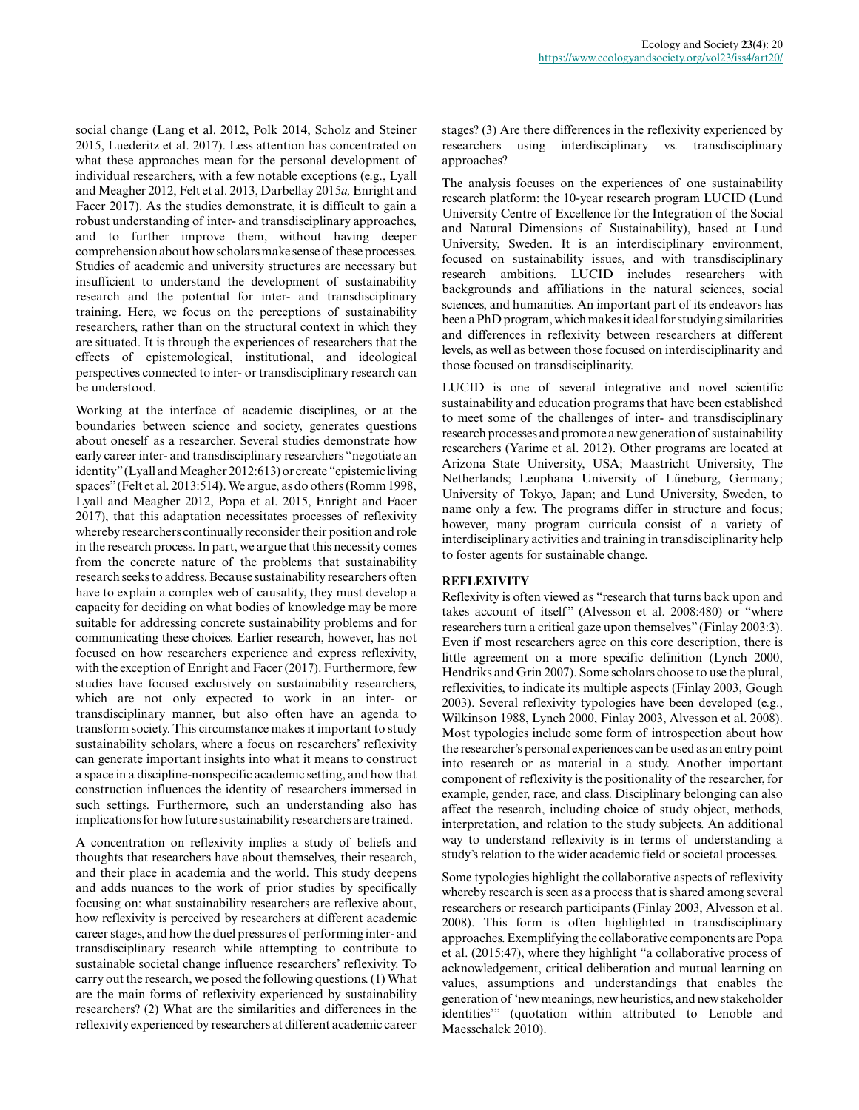social change (Lang et al. 2012, Polk 2014, Scholz and Steiner 2015, Luederitz et al. 2017). Less attention has concentrated on what these approaches mean for the personal development of individual researchers, with a few notable exceptions (e.g., Lyall and Meagher 2012, Felt et al. 2013, Darbellay 2015*a,* Enright and Facer 2017). As the studies demonstrate, it is difficult to gain a robust understanding of inter- and transdisciplinary approaches, and to further improve them, without having deeper comprehension about how scholars make sense of these processes. Studies of academic and university structures are necessary but insufficient to understand the development of sustainability research and the potential for inter- and transdisciplinary training. Here, we focus on the perceptions of sustainability researchers, rather than on the structural context in which they are situated. It is through the experiences of researchers that the effects of epistemological, institutional, and ideological perspectives connected to inter- or transdisciplinary research can be understood.

Working at the interface of academic disciplines, or at the boundaries between science and society, generates questions about oneself as a researcher. Several studies demonstrate how early career inter- and transdisciplinary researchers "negotiate an identity" (Lyall and Meagher 2012:613) or create "epistemic living spaces" (Felt et al. 2013:514). We argue, as do others (Romm 1998, Lyall and Meagher 2012, Popa et al. 2015, Enright and Facer 2017), that this adaptation necessitates processes of reflexivity whereby researchers continually reconsider their position and role in the research process. In part, we argue that this necessity comes from the concrete nature of the problems that sustainability research seeks to address. Because sustainability researchers often have to explain a complex web of causality, they must develop a capacity for deciding on what bodies of knowledge may be more suitable for addressing concrete sustainability problems and for communicating these choices. Earlier research, however, has not focused on how researchers experience and express reflexivity, with the exception of Enright and Facer (2017). Furthermore, few studies have focused exclusively on sustainability researchers, which are not only expected to work in an inter- or transdisciplinary manner, but also often have an agenda to transform society. This circumstance makes it important to study sustainability scholars, where a focus on researchers' reflexivity can generate important insights into what it means to construct a space in a discipline-nonspecific academic setting, and how that construction influences the identity of researchers immersed in such settings. Furthermore, such an understanding also has implications for how future sustainability researchers are trained.

A concentration on reflexivity implies a study of beliefs and thoughts that researchers have about themselves, their research, and their place in academia and the world. This study deepens and adds nuances to the work of prior studies by specifically focusing on: what sustainability researchers are reflexive about, how reflexivity is perceived by researchers at different academic career stages, and how the duel pressures of performing inter- and transdisciplinary research while attempting to contribute to sustainable societal change influence researchers' reflexivity. To carry out the research, we posed the following questions. (1) What are the main forms of reflexivity experienced by sustainability researchers? (2) What are the similarities and differences in the reflexivity experienced by researchers at different academic career

stages? (3) Are there differences in the reflexivity experienced by researchers using interdisciplinary vs. transdisciplinary approaches?

The analysis focuses on the experiences of one sustainability research platform: the 10-year research program LUCID (Lund University Centre of Excellence for the Integration of the Social and Natural Dimensions of Sustainability), based at Lund University, Sweden. It is an interdisciplinary environment, focused on sustainability issues, and with transdisciplinary research ambitions. LUCID includes researchers with backgrounds and affiliations in the natural sciences, social sciences, and humanities. An important part of its endeavors has been a PhD program, which makes it ideal for studying similarities and differences in reflexivity between researchers at different levels, as well as between those focused on interdisciplinarity and those focused on transdisciplinarity.

LUCID is one of several integrative and novel scientific sustainability and education programs that have been established to meet some of the challenges of inter- and transdisciplinary research processes and promote a new generation of sustainability researchers (Yarime et al. 2012). Other programs are located at Arizona State University, USA; Maastricht University, The Netherlands; Leuphana University of Lüneburg, Germany; University of Tokyo, Japan; and Lund University, Sweden, to name only a few. The programs differ in structure and focus; however, many program curricula consist of a variety of interdisciplinary activities and training in transdisciplinarity help to foster agents for sustainable change.

## **REFLEXIVITY**

Reflexivity is often viewed as "research that turns back upon and takes account of itself" (Alvesson et al. 2008:480) or "where researchers turn a critical gaze upon themselves" (Finlay 2003:3). Even if most researchers agree on this core description, there is little agreement on a more specific definition (Lynch 2000, Hendriks and Grin 2007). Some scholars choose to use the plural, reflexivities, to indicate its multiple aspects (Finlay 2003, Gough 2003). Several reflexivity typologies have been developed (e.g., Wilkinson 1988, Lynch 2000, Finlay 2003, Alvesson et al. 2008). Most typologies include some form of introspection about how the researcher's personal experiences can be used as an entry point into research or as material in a study. Another important component of reflexivity is the positionality of the researcher, for example, gender, race, and class. Disciplinary belonging can also affect the research, including choice of study object, methods, interpretation, and relation to the study subjects. An additional way to understand reflexivity is in terms of understanding a study's relation to the wider academic field or societal processes.

Some typologies highlight the collaborative aspects of reflexivity whereby research is seen as a process that is shared among several researchers or research participants (Finlay 2003, Alvesson et al. 2008). This form is often highlighted in transdisciplinary approaches. Exemplifying the collaborative components are Popa et al. (2015:47), where they highlight "a collaborative process of acknowledgement, critical deliberation and mutual learning on values, assumptions and understandings that enables the generation of 'new meanings, new heuristics, and new stakeholder identities'" (quotation within attributed to Lenoble and Maesschalck 2010).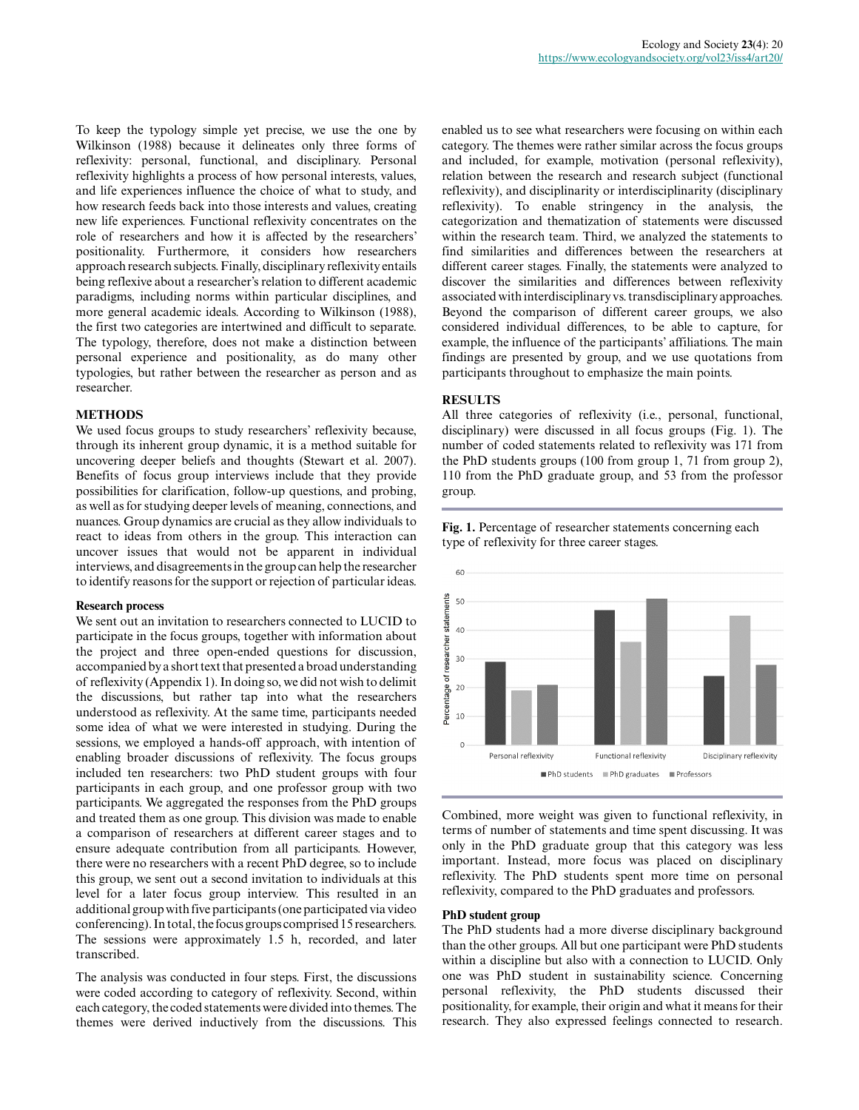To keep the typology simple yet precise, we use the one by Wilkinson (1988) because it delineates only three forms of reflexivity: personal, functional, and disciplinary. Personal reflexivity highlights a process of how personal interests, values, and life experiences influence the choice of what to study, and how research feeds back into those interests and values, creating new life experiences. Functional reflexivity concentrates on the role of researchers and how it is affected by the researchers' positionality. Furthermore, it considers how researchers approach research subjects. Finally, disciplinary reflexivity entails being reflexive about a researcher's relation to different academic paradigms, including norms within particular disciplines, and more general academic ideals. According to Wilkinson (1988), the first two categories are intertwined and difficult to separate. The typology, therefore, does not make a distinction between personal experience and positionality, as do many other typologies, but rather between the researcher as person and as researcher.

## **METHODS**

We used focus groups to study researchers' reflexivity because, through its inherent group dynamic, it is a method suitable for uncovering deeper beliefs and thoughts (Stewart et al. 2007). Benefits of focus group interviews include that they provide possibilities for clarification, follow-up questions, and probing, as well as for studying deeper levels of meaning, connections, and nuances. Group dynamics are crucial as they allow individuals to react to ideas from others in the group. This interaction can uncover issues that would not be apparent in individual interviews, and disagreements in the group can help the researcher to identify reasons for the support or rejection of particular ideas.

### **Research process**

We sent out an invitation to researchers connected to LUCID to participate in the focus groups, together with information about the project and three open-ended questions for discussion, accompanied by a short text that presented a broad understanding of reflexivity (Appendix 1). In doing so, we did not wish to delimit the discussions, but rather tap into what the researchers understood as reflexivity. At the same time, participants needed some idea of what we were interested in studying. During the sessions, we employed a hands-off approach, with intention of enabling broader discussions of reflexivity. The focus groups included ten researchers: two PhD student groups with four participants in each group, and one professor group with two participants. We aggregated the responses from the PhD groups and treated them as one group. This division was made to enable a comparison of researchers at different career stages and to ensure adequate contribution from all participants. However, there were no researchers with a recent PhD degree, so to include this group, we sent out a second invitation to individuals at this level for a later focus group interview. This resulted in an additional group with five participants (one participated via video conferencing). In total, the focus groups comprised 15 researchers. The sessions were approximately 1.5 h, recorded, and later transcribed.

The analysis was conducted in four steps. First, the discussions were coded according to category of reflexivity. Second, within each category, the coded statements were divided into themes. The themes were derived inductively from the discussions. This

enabled us to see what researchers were focusing on within each category. The themes were rather similar across the focus groups and included, for example, motivation (personal reflexivity), relation between the research and research subject (functional reflexivity), and disciplinarity or interdisciplinarity (disciplinary reflexivity). To enable stringency in the analysis, the categorization and thematization of statements were discussed within the research team. Third, we analyzed the statements to find similarities and differences between the researchers at different career stages. Finally, the statements were analyzed to discover the similarities and differences between reflexivity associated with interdisciplinary vs. transdisciplinary approaches. Beyond the comparison of different career groups, we also considered individual differences, to be able to capture, for example, the influence of the participants' affiliations. The main findings are presented by group, and we use quotations from participants throughout to emphasize the main points.

### **RESULTS**

All three categories of reflexivity (i.e., personal, functional, disciplinary) were discussed in all focus groups (Fig. 1). The number of coded statements related to reflexivity was 171 from the PhD students groups (100 from group 1, 71 from group 2), 110 from the PhD graduate group, and 53 from the professor group.

**Fig. 1.** Percentage of researcher statements concerning each type of reflexivity for three career stages.



Combined, more weight was given to functional reflexivity, in terms of number of statements and time spent discussing. It was only in the PhD graduate group that this category was less important. Instead, more focus was placed on disciplinary reflexivity. The PhD students spent more time on personal reflexivity, compared to the PhD graduates and professors.

#### **PhD student group**

The PhD students had a more diverse disciplinary background than the other groups. All but one participant were PhD students within a discipline but also with a connection to LUCID. Only one was PhD student in sustainability science. Concerning personal reflexivity, the PhD students discussed their positionality, for example, their origin and what it means for their research. They also expressed feelings connected to research.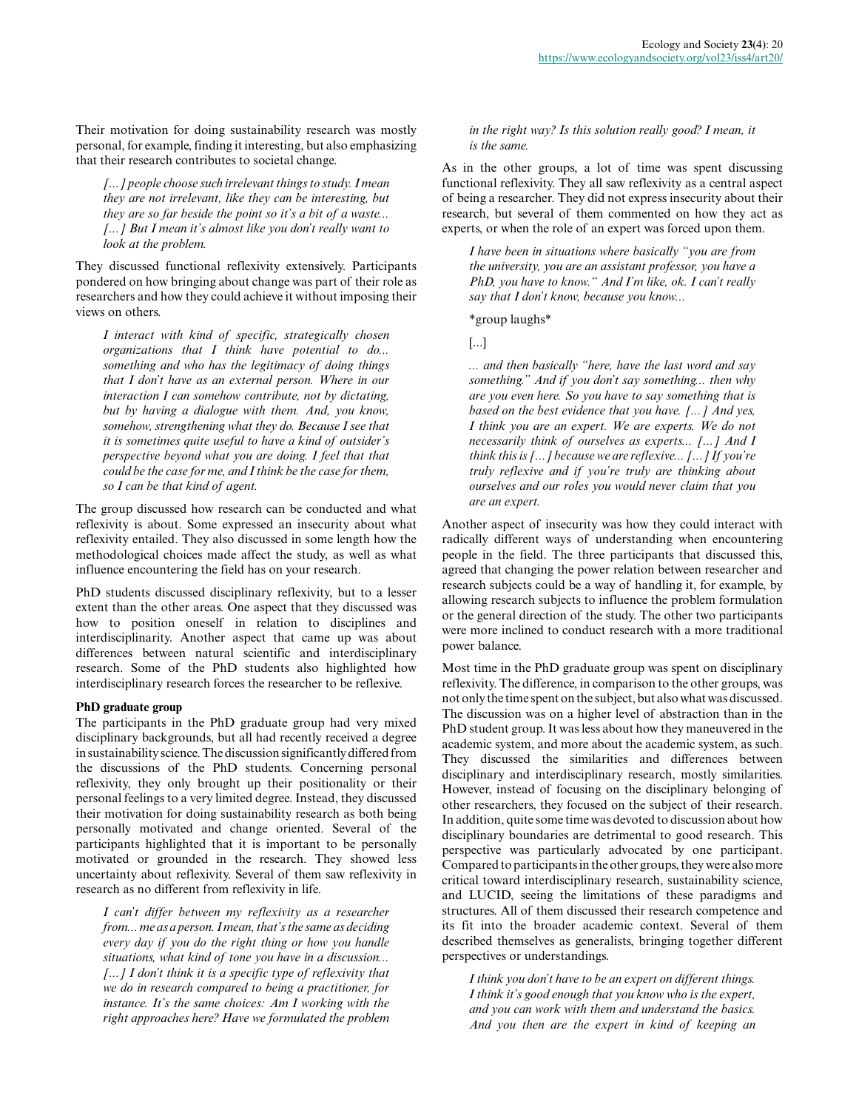Their motivation for doing sustainability research was mostly personal, for example, finding it interesting, but also emphasizing that their research contributes to societal change.

*[...] people choose such irrelevant things to study. I mean they are not irrelevant, like they can be interesting, but they are so far beside the point so it's a bit of a waste... [...] But I mean it's almost like you don't really want to look at the problem.*

They discussed functional reflexivity extensively. Participants pondered on how bringing about change was part of their role as researchers and how they could achieve it without imposing their views on others.

*I interact with kind of specific, strategically chosen organizations that I think have potential to do... something and who has the legitimacy of doing things that I don't have as an external person. Where in our interaction I can somehow contribute, not by dictating, but by having a dialogue with them. And, you know, somehow, strengthening what they do. Because I see that it is sometimes quite useful to have a kind of outsider's perspective beyond what you are doing. I feel that that could be the case for me, and I think be the case for them, so I can be that kind of agent.*

The group discussed how research can be conducted and what reflexivity is about. Some expressed an insecurity about what reflexivity entailed. They also discussed in some length how the methodological choices made affect the study, as well as what influence encountering the field has on your research.

PhD students discussed disciplinary reflexivity, but to a lesser extent than the other areas. One aspect that they discussed was how to position oneself in relation to disciplines and interdisciplinarity. Another aspect that came up was about differences between natural scientific and interdisciplinary research. Some of the PhD students also highlighted how interdisciplinary research forces the researcher to be reflexive.

### **PhD graduate group**

The participants in the PhD graduate group had very mixed disciplinary backgrounds, but all had recently received a degree in sustainability science. The discussion significantly differed from the discussions of the PhD students. Concerning personal reflexivity, they only brought up their positionality or their personal feelings to a very limited degree. Instead, they discussed their motivation for doing sustainability research as both being personally motivated and change oriented. Several of the participants highlighted that it is important to be personally motivated or grounded in the research. They showed less uncertainty about reflexivity. Several of them saw reflexivity in research as no different from reflexivity in life.

*I can't differ between my reflexivity as a researcher from... me as a person. I mean, that's the same as deciding every day if you do the right thing or how you handle situations, what kind of tone you have in a discussion... [...] I don't think it is a specific type of reflexivity that we do in research compared to being a practitioner, for instance. It's the same choices: Am I working with the right approaches here? Have we formulated the problem*

*in the right way? Is this solution really good? I mean, it is the same.*

As in the other groups, a lot of time was spent discussing functional reflexivity. They all saw reflexivity as a central aspect of being a researcher. They did not express insecurity about their research, but several of them commented on how they act as experts, or when the role of an expert was forced upon them.

*I have been in situations where basically "you are from the university, you are an assistant professor, you have a PhD, you have to know." And I'm like, ok. I can't really say that I don't know, because you know...*

\*group laughs\*

[...]

*... and then basically "here, have the last word and say something." And if you don't say something... then why are you even here. So you have to say something that is based on the best evidence that you have. [...] And yes, I think you are an expert. We are experts. We do not necessarily think of ourselves as experts... [...] And I think this is [...] because we are reflexive... [...] If you're truly reflexive and if you're truly are thinking about ourselves and our roles you would never claim that you are an expert.*

Another aspect of insecurity was how they could interact with radically different ways of understanding when encountering people in the field. The three participants that discussed this, agreed that changing the power relation between researcher and research subjects could be a way of handling it, for example, by allowing research subjects to influence the problem formulation or the general direction of the study. The other two participants were more inclined to conduct research with a more traditional power balance.

Most time in the PhD graduate group was spent on disciplinary reflexivity. The difference, in comparison to the other groups, was not only the time spent on the subject, but also what was discussed. The discussion was on a higher level of abstraction than in the PhD student group. It was less about how they maneuvered in the academic system, and more about the academic system, as such. They discussed the similarities and differences between disciplinary and interdisciplinary research, mostly similarities. However, instead of focusing on the disciplinary belonging of other researchers, they focused on the subject of their research. In addition, quite some time was devoted to discussion about how disciplinary boundaries are detrimental to good research. This perspective was particularly advocated by one participant. Compared to participants in the other groups, they were also more critical toward interdisciplinary research, sustainability science, and LUCID, seeing the limitations of these paradigms and structures. All of them discussed their research competence and its fit into the broader academic context. Several of them described themselves as generalists, bringing together different perspectives or understandings.

*I think you don't have to be an expert on different things. I think it's good enough that you know who is the expert, and you can work with them and understand the basics. And you then are the expert in kind of keeping an*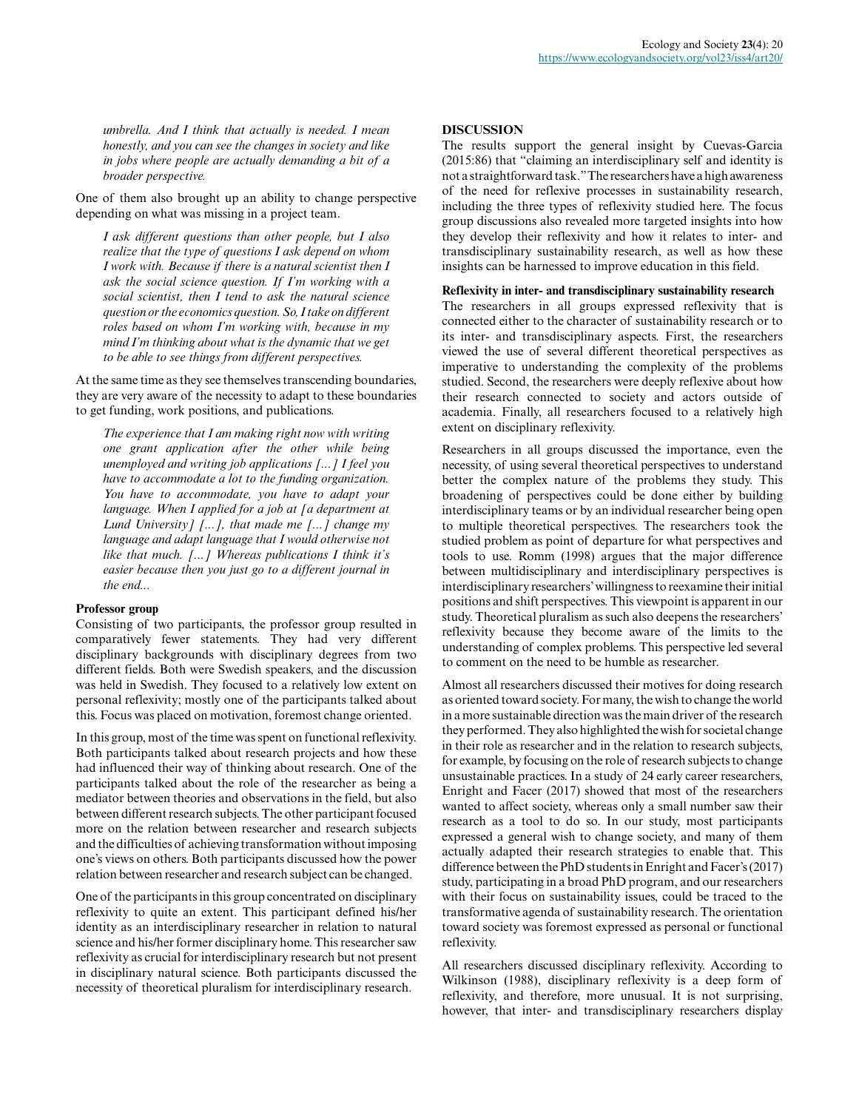*umbrella. And I think that actually is needed. I mean honestly, and you can see the changes in society and like in jobs where people are actually demanding a bit of a broader perspective.*

One of them also brought up an ability to change perspective depending on what was missing in a project team.

*I ask different questions than other people, but I also realize that the type of questions I ask depend on whom I work with. Because if there is a natural scientist then I ask the social science question. If I'm working with a social scientist, then I tend to ask the natural science question or the economics question. So, I take on different roles based on whom I'm working with, because in my mind I'm thinking about what is the dynamic that we get to be able to see things from different perspectives.*

At the same time as they see themselves transcending boundaries, they are very aware of the necessity to adapt to these boundaries to get funding, work positions, and publications.

*The experience that I am making right now with writing one grant application after the other while being unemployed and writing job applications [...] I feel you have to accommodate a lot to the funding organization. You have to accommodate, you have to adapt your language. When I applied for a job at [a department at Lund University] [...], that made me [...] change my language and adapt language that I would otherwise not like that much. [...] Whereas publications I think it's easier because then you just go to a different journal in the end...*

### **Professor group**

Consisting of two participants, the professor group resulted in comparatively fewer statements. They had very different disciplinary backgrounds with disciplinary degrees from two different fields. Both were Swedish speakers, and the discussion was held in Swedish. They focused to a relatively low extent on personal reflexivity; mostly one of the participants talked about this. Focus was placed on motivation, foremost change oriented.

In this group, most of the time was spent on functional reflexivity. Both participants talked about research projects and how these had influenced their way of thinking about research. One of the participants talked about the role of the researcher as being a mediator between theories and observations in the field, but also between different research subjects. The other participant focused more on the relation between researcher and research subjects and the difficulties of achieving transformation without imposing one's views on others. Both participants discussed how the power relation between researcher and research subject can be changed.

One of the participants in this group concentrated on disciplinary reflexivity to quite an extent. This participant defined his/her identity as an interdisciplinary researcher in relation to natural science and his/her former disciplinary home. This researcher saw reflexivity as crucial for interdisciplinary research but not present in disciplinary natural science. Both participants discussed the necessity of theoretical pluralism for interdisciplinary research.

#### **DISCUSSION**

The results support the general insight by Cuevas-Garcia (2015:86) that "claiming an interdisciplinary self and identity is not a straightforward task." The researchers have a high awareness of the need for reflexive processes in sustainability research, including the three types of reflexivity studied here. The focus group discussions also revealed more targeted insights into how they develop their reflexivity and how it relates to inter- and transdisciplinary sustainability research, as well as how these insights can be harnessed to improve education in this field.

### **Reflexivity in inter- and transdisciplinary sustainability research**

The researchers in all groups expressed reflexivity that is connected either to the character of sustainability research or to its inter- and transdisciplinary aspects. First, the researchers viewed the use of several different theoretical perspectives as imperative to understanding the complexity of the problems studied. Second, the researchers were deeply reflexive about how their research connected to society and actors outside of academia. Finally, all researchers focused to a relatively high extent on disciplinary reflexivity.

Researchers in all groups discussed the importance, even the necessity, of using several theoretical perspectives to understand better the complex nature of the problems they study. This broadening of perspectives could be done either by building interdisciplinary teams or by an individual researcher being open to multiple theoretical perspectives. The researchers took the studied problem as point of departure for what perspectives and tools to use. Romm (1998) argues that the major difference between multidisciplinary and interdisciplinary perspectives is interdisciplinary researchers' willingness to reexamine their initial positions and shift perspectives. This viewpoint is apparent in our study. Theoretical pluralism as such also deepens the researchers' reflexivity because they become aware of the limits to the understanding of complex problems. This perspective led several to comment on the need to be humble as researcher.

Almost all researchers discussed their motives for doing research as oriented toward society. For many, the wish to change the world in a more sustainable direction was the main driver of the research they performed. They also highlighted the wish for societal change in their role as researcher and in the relation to research subjects, for example, by focusing on the role of research subjects to change unsustainable practices. In a study of 24 early career researchers, Enright and Facer (2017) showed that most of the researchers wanted to affect society, whereas only a small number saw their research as a tool to do so. In our study, most participants expressed a general wish to change society, and many of them actually adapted their research strategies to enable that. This difference between the PhD students in Enright and Facer's (2017) study, participating in a broad PhD program, and our researchers with their focus on sustainability issues, could be traced to the transformative agenda of sustainability research. The orientation toward society was foremost expressed as personal or functional reflexivity.

All researchers discussed disciplinary reflexivity. According to Wilkinson (1988), disciplinary reflexivity is a deep form of reflexivity, and therefore, more unusual. It is not surprising, however, that inter- and transdisciplinary researchers display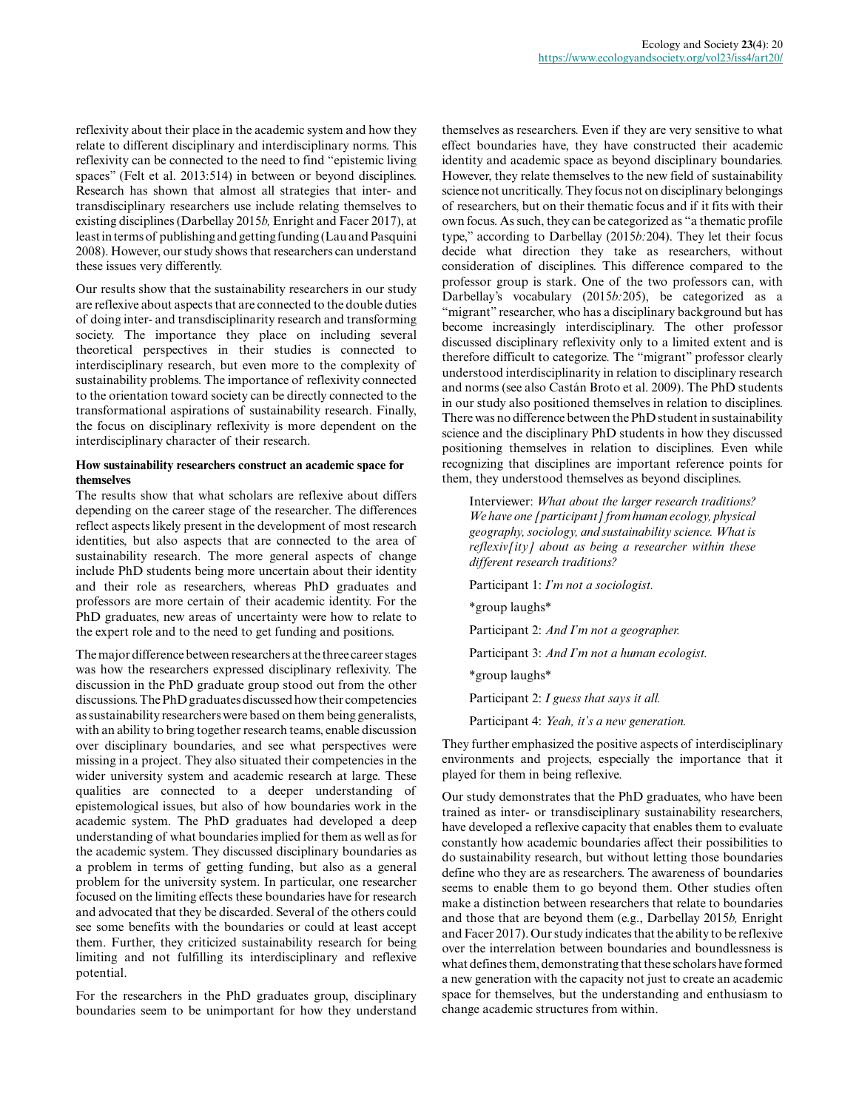reflexivity about their place in the academic system and how they relate to different disciplinary and interdisciplinary norms. This reflexivity can be connected to the need to find "epistemic living spaces" (Felt et al. 2013:514) in between or beyond disciplines. Research has shown that almost all strategies that inter- and transdisciplinary researchers use include relating themselves to existing disciplines (Darbellay 2015*b,* Enright and Facer 2017), at least in terms of publishing and getting funding (Lau and Pasquini 2008). However, our study shows that researchers can understand these issues very differently.

Our results show that the sustainability researchers in our study are reflexive about aspects that are connected to the double duties of doing inter- and transdisciplinarity research and transforming society. The importance they place on including several theoretical perspectives in their studies is connected to interdisciplinary research, but even more to the complexity of sustainability problems. The importance of reflexivity connected to the orientation toward society can be directly connected to the transformational aspirations of sustainability research. Finally, the focus on disciplinary reflexivity is more dependent on the interdisciplinary character of their research.

## **How sustainability researchers construct an academic space for themselves**

The results show that what scholars are reflexive about differs depending on the career stage of the researcher. The differences reflect aspects likely present in the development of most research identities, but also aspects that are connected to the area of sustainability research. The more general aspects of change include PhD students being more uncertain about their identity and their role as researchers, whereas PhD graduates and professors are more certain of their academic identity. For the PhD graduates, new areas of uncertainty were how to relate to the expert role and to the need to get funding and positions.

The major difference between researchers at the three career stages was how the researchers expressed disciplinary reflexivity. The discussion in the PhD graduate group stood out from the other discussions. The PhD graduates discussed how their competencies as sustainability researchers were based on them being generalists, with an ability to bring together research teams, enable discussion over disciplinary boundaries, and see what perspectives were missing in a project. They also situated their competencies in the wider university system and academic research at large. These qualities are connected to a deeper understanding of epistemological issues, but also of how boundaries work in the academic system. The PhD graduates had developed a deep understanding of what boundaries implied for them as well as for the academic system. They discussed disciplinary boundaries as a problem in terms of getting funding, but also as a general problem for the university system. In particular, one researcher focused on the limiting effects these boundaries have for research and advocated that they be discarded. Several of the others could see some benefits with the boundaries or could at least accept them. Further, they criticized sustainability research for being limiting and not fulfilling its interdisciplinary and reflexive potential.

For the researchers in the PhD graduates group, disciplinary boundaries seem to be unimportant for how they understand themselves as researchers. Even if they are very sensitive to what effect boundaries have, they have constructed their academic identity and academic space as beyond disciplinary boundaries. However, they relate themselves to the new field of sustainability science not uncritically. They focus not on disciplinary belongings of researchers, but on their thematic focus and if it fits with their own focus. As such, they can be categorized as "a thematic profile type," according to Darbellay (2015*b:*204). They let their focus decide what direction they take as researchers, without consideration of disciplines. This difference compared to the professor group is stark. One of the two professors can, with Darbellay's vocabulary (2015*b:*205), be categorized as a "migrant" researcher, who has a disciplinary background but has become increasingly interdisciplinary. The other professor discussed disciplinary reflexivity only to a limited extent and is therefore difficult to categorize. The "migrant" professor clearly understood interdisciplinarity in relation to disciplinary research and norms (see also Castán Broto et al. 2009). The PhD students in our study also positioned themselves in relation to disciplines. There was no difference between the PhD student in sustainability science and the disciplinary PhD students in how they discussed positioning themselves in relation to disciplines. Even while recognizing that disciplines are important reference points for them, they understood themselves as beyond disciplines.

Interviewer: *What about the larger research traditions? We have one [participant] from human ecology, physical geography, sociology, and sustainability science. What is reflexiv[ity] about as being a researcher within these different research traditions?*

Participant 1: *I'm not a sociologist.* \*group laughs\* Participant 2: *And I'm not a geographer.* Participant 3: *And I'm not a human ecologist.* \*group laughs\* Participant 2: *I guess that says it all.* Participant 4: *Yeah, it's a new generation.*

They further emphasized the positive aspects of interdisciplinary environments and projects, especially the importance that it played for them in being reflexive.

Our study demonstrates that the PhD graduates, who have been trained as inter- or transdisciplinary sustainability researchers, have developed a reflexive capacity that enables them to evaluate constantly how academic boundaries affect their possibilities to do sustainability research, but without letting those boundaries define who they are as researchers. The awareness of boundaries seems to enable them to go beyond them. Other studies often make a distinction between researchers that relate to boundaries and those that are beyond them (e.g., Darbellay 2015*b,* Enright and Facer 2017). Our study indicates that the ability to be reflexive over the interrelation between boundaries and boundlessness is what defines them, demonstrating that these scholars have formed a new generation with the capacity not just to create an academic space for themselves, but the understanding and enthusiasm to change academic structures from within.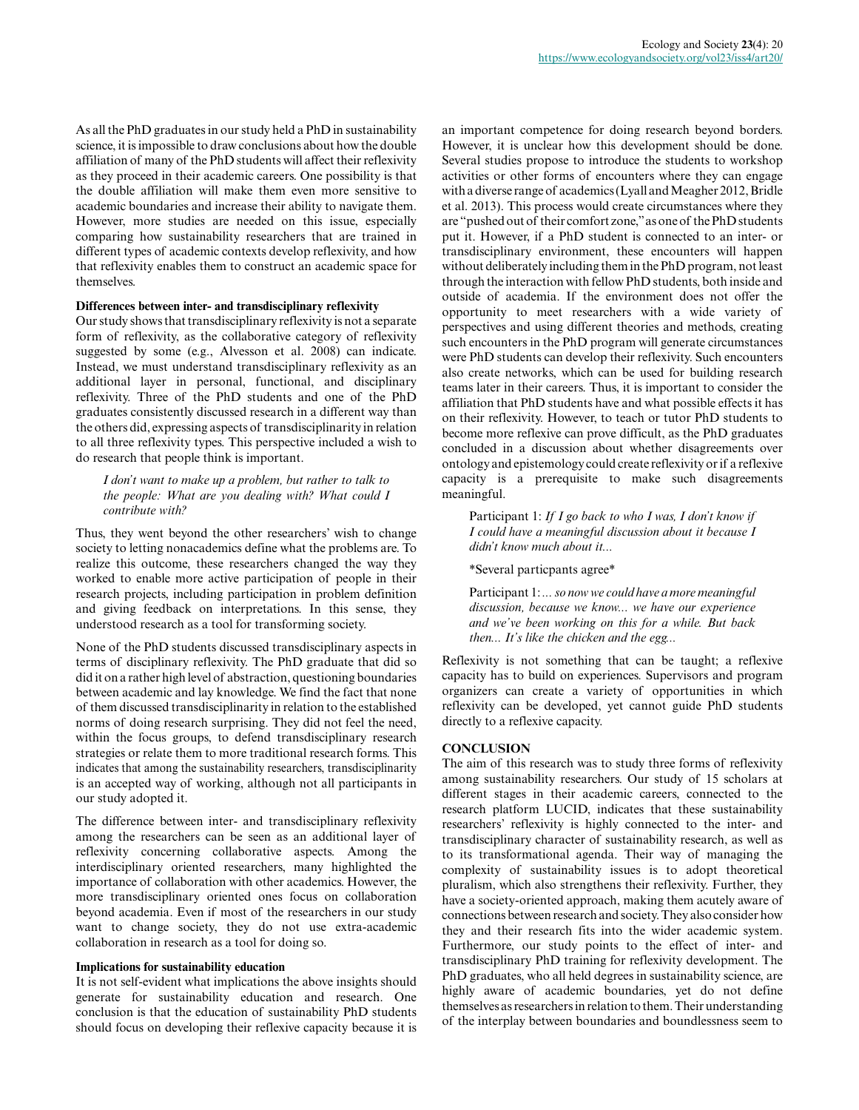As all the PhD graduates in our study held a PhD in sustainability science, it is impossible to draw conclusions about how the double affiliation of many of the PhD students will affect their reflexivity as they proceed in their academic careers. One possibility is that the double affiliation will make them even more sensitive to academic boundaries and increase their ability to navigate them. However, more studies are needed on this issue, especially comparing how sustainability researchers that are trained in different types of academic contexts develop reflexivity, and how that reflexivity enables them to construct an academic space for themselves.

## **Differences between inter- and transdisciplinary reflexivity**

Our study shows that transdisciplinary reflexivity is not a separate form of reflexivity, as the collaborative category of reflexivity suggested by some (e.g., Alvesson et al. 2008) can indicate. Instead, we must understand transdisciplinary reflexivity as an additional layer in personal, functional, and disciplinary reflexivity. Three of the PhD students and one of the PhD graduates consistently discussed research in a different way than the others did, expressing aspects of transdisciplinarity in relation to all three reflexivity types. This perspective included a wish to do research that people think is important.

### *I don't want to make up a problem, but rather to talk to the people: What are you dealing with? What could I contribute with?*

Thus, they went beyond the other researchers' wish to change society to letting nonacademics define what the problems are. To realize this outcome, these researchers changed the way they worked to enable more active participation of people in their research projects, including participation in problem definition and giving feedback on interpretations. In this sense, they understood research as a tool for transforming society.

None of the PhD students discussed transdisciplinary aspects in terms of disciplinary reflexivity. The PhD graduate that did so did it on a rather high level of abstraction, questioning boundaries between academic and lay knowledge. We find the fact that none of them discussed transdisciplinarity in relation to the established norms of doing research surprising. They did not feel the need, within the focus groups, to defend transdisciplinary research strategies or relate them to more traditional research forms. This indicates that among the sustainability researchers, transdisciplinarity is an accepted way of working, although not all participants in our study adopted it.

The difference between inter- and transdisciplinary reflexivity among the researchers can be seen as an additional layer of reflexivity concerning collaborative aspects. Among the interdisciplinary oriented researchers, many highlighted the importance of collaboration with other academics. However, the more transdisciplinary oriented ones focus on collaboration beyond academia. Even if most of the researchers in our study want to change society, they do not use extra-academic collaboration in research as a tool for doing so.

#### **Implications for sustainability education**

It is not self-evident what implications the above insights should generate for sustainability education and research. One conclusion is that the education of sustainability PhD students should focus on developing their reflexive capacity because it is

an important competence for doing research beyond borders. However, it is unclear how this development should be done. Several studies propose to introduce the students to workshop activities or other forms of encounters where they can engage with a diverse range of academics (Lyall and Meagher 2012, Bridle et al. 2013). This process would create circumstances where they are "pushed out of their comfort zone," as one of the PhD students put it. However, if a PhD student is connected to an inter- or transdisciplinary environment, these encounters will happen without deliberately including them in the PhD program, not least through the interaction with fellow PhD students, both inside and outside of academia. If the environment does not offer the opportunity to meet researchers with a wide variety of perspectives and using different theories and methods, creating such encounters in the PhD program will generate circumstances were PhD students can develop their reflexivity. Such encounters also create networks, which can be used for building research teams later in their careers. Thus, it is important to consider the affiliation that PhD students have and what possible effects it has on their reflexivity. However, to teach or tutor PhD students to become more reflexive can prove difficult, as the PhD graduates concluded in a discussion about whether disagreements over ontology and epistemology could create reflexivity or if a reflexive capacity is a prerequisite to make such disagreements meaningful.

Participant 1: *If I go back to who I was, I don't know if I could have a meaningful discussion about it because I didn't know much about it...*

\*Several particpants agree\*

Participant 1: *... so now we could have a more meaningful discussion, because we know... we have our experience and we've been working on this for a while. But back then... It's like the chicken and the egg...*

Reflexivity is not something that can be taught; a reflexive capacity has to build on experiences. Supervisors and program organizers can create a variety of opportunities in which reflexivity can be developed, yet cannot guide PhD students directly to a reflexive capacity.

## **CONCLUSION**

The aim of this research was to study three forms of reflexivity among sustainability researchers. Our study of 15 scholars at different stages in their academic careers, connected to the research platform LUCID, indicates that these sustainability researchers' reflexivity is highly connected to the inter- and transdisciplinary character of sustainability research, as well as to its transformational agenda. Their way of managing the complexity of sustainability issues is to adopt theoretical pluralism, which also strengthens their reflexivity. Further, they have a society-oriented approach, making them acutely aware of connections between research and society. They also consider how they and their research fits into the wider academic system. Furthermore, our study points to the effect of inter- and transdisciplinary PhD training for reflexivity development. The PhD graduates, who all held degrees in sustainability science, are highly aware of academic boundaries, yet do not define themselves as researchers in relation to them. Their understanding of the interplay between boundaries and boundlessness seem to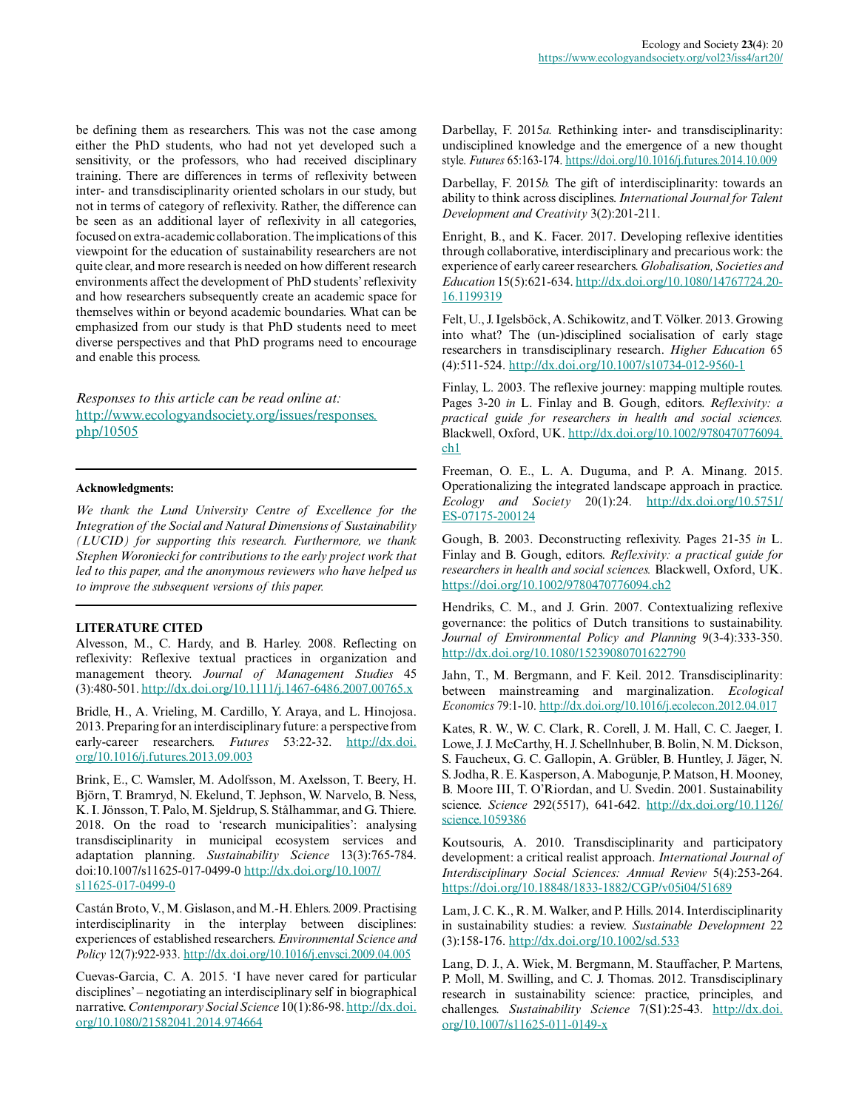be defining them as researchers. This was not the case among either the PhD students, who had not yet developed such a sensitivity, or the professors, who had received disciplinary training. There are differences in terms of reflexivity between inter- and transdisciplinarity oriented scholars in our study, but not in terms of category of reflexivity. Rather, the difference can be seen as an additional layer of reflexivity in all categories, focused on extra-academic collaboration. The implications of this viewpoint for the education of sustainability researchers are not quite clear, and more research is needed on how different research environments affect the development of PhD students' reflexivity and how researchers subsequently create an academic space for themselves within or beyond academic boundaries. What can be emphasized from our study is that PhD students need to meet diverse perspectives and that PhD programs need to encourage and enable this process.

*Responses to this article can be read online at:* [http://www.ecologyandsociety.org/issues/responses.](http://www.ecologyandsociety.org/issues/responses.php/10505) [php/10505](http://www.ecologyandsociety.org/issues/responses.php/10505)

## **Acknowledgments:**

*We thank the Lund University Centre of Excellence for the Integration of the Social and Natural Dimensions of Sustainability (LUCID) for supporting this research. Furthermore, we thank Stephen Woroniecki for contributions to the early project work that led to this paper, and the anonymous reviewers who have helped us to improve the subsequent versions of this paper.*

## **LITERATURE CITED**

Alvesson, M., C. Hardy, and B. Harley. 2008. Reflecting on reflexivity: Reflexive textual practices in organization and management theory. *Journal of Management Studies* 45 (3):480-501.<http://dx.doi.org/10.1111/j.1467-6486.2007.00765.x>

Bridle, H., A. Vrieling, M. Cardillo, Y. Araya, and L. Hinojosa. 2013. Preparing for an interdisciplinary future: a perspective from early-career researchers. *Futures* 53:22-32. [http://dx.doi.](http://dx.doi.org/10.1016/j.futures.2013.09.003) [org/10.1016/j.futures.2013.09.003](http://dx.doi.org/10.1016/j.futures.2013.09.003) 

Brink, E., C. Wamsler, M. Adolfsson, M. Axelsson, T. Beery, H. Björn, T. Bramryd, N. Ekelund, T. Jephson, W. Narvelo, B. Ness, K. I. Jönsson, T. Palo, M. Sjeldrup, S. Stålhammar, and G. Thiere. 2018. On the road to 'research municipalities': analysing transdisciplinarity in municipal ecosystem services and adaptation planning. *Sustainability Science* 13(3):765-784. doi:10.1007/s11625-017-0499-0 [http://dx.doi.org/10.1007/](http://dx.doi.org/10.1007/s11625-017-0499-0) s11625-017-0499-0

Castán Broto, V., M. Gislason, and M.-H. Ehlers. 2009. Practising interdisciplinarity in the interplay between disciplines: experiences of established researchers. *Environmental Science and Policy* 12(7):922-933. <http://dx.doi.org/10.1016/j.envsci.2009.04.005>

Cuevas-Garcia, C. A. 2015. 'I have never cared for particular disciplines' – negotiating an interdisciplinary self in biographical narrative. *Contemporary Social Science* 10(1):86-98. [http://dx.doi.](http://dx.doi.org/10.1080/21582041.2014.974664) [org/10.1080/21582041.2014.974664](http://dx.doi.org/10.1080/21582041.2014.974664)

Darbellay, F. 2015*a.* Rethinking inter- and transdisciplinarity: undisciplined knowledge and the emergence of a new thought style. *Futures* 65:163-174.<https://doi.org/10.1016/j.futures.2014.10.009>

Darbellay, F. 2015*b.* The gift of interdisciplinarity: towards an ability to think across disciplines. *International Journal for Talent Development and Creativity* 3(2):201-211.

Enright, B., and K. Facer. 2017. Developing reflexive identities through collaborative, interdisciplinary and precarious work: the experience of early career researchers. *Globalisation, Societies and Education* 15(5):621-634. [http://dx.doi.org/10.1080/14767724.20](http://dx.doi.org/10.1080/14767724.2016.1199319) [16.1199319](http://dx.doi.org/10.1080/14767724.2016.1199319) 

Felt, U., J. Igelsböck, A. Schikowitz, and T. Völker. 2013. Growing into what? The (un-)disciplined socialisation of early stage researchers in transdisciplinary research. *Higher Education* 65 (4):511-524. <http://dx.doi.org/10.1007/s10734-012-9560-1>

Finlay, L. 2003. The reflexive journey: mapping multiple routes. Pages 3-20 *in* L. Finlay and B. Gough, editors. *Reflexivity: a practical guide for researchers in health and social sciences.* Blackwell, Oxford, UK. [http://dx.doi.org/10.1002/9780470776094.](http://dx.doi.org/10.1002/9780470776094.ch1) [ch1](http://dx.doi.org/10.1002/9780470776094.ch1)

Freeman, O. E., L. A. Duguma, and P. A. Minang. 2015. Operationalizing the integrated landscape approach in practice. *Ecology and Society* 20(1):24. [http://dx.doi.org/10.5751/](http://dx.doi.org/10.5751/ES-07175-200124) [ES-07175-200124](http://dx.doi.org/10.5751/ES-07175-200124)

Gough, B. 2003. Deconstructing reflexivity. Pages 21-35 *in* L. Finlay and B. Gough, editors. *Reflexivity: a practical guide for researchers in health and social sciences.* Blackwell, Oxford, UK. <https://doi.org/10.1002/9780470776094.ch2>

Hendriks, C. M., and J. Grin. 2007. Contextualizing reflexive governance: the politics of Dutch transitions to sustainability. *Journal of Environmental Policy and Planning* 9(3-4):333-350. <http://dx.doi.org/10.1080/15239080701622790>

Jahn, T., M. Bergmann, and F. Keil. 2012. Transdisciplinarity: between mainstreaming and marginalization. *Ecological Economics* 79:1-10.<http://dx.doi.org/10.1016/j.ecolecon.2012.04.017>

Kates, R. W., W. C. Clark, R. Corell, J. M. Hall, C. C. Jaeger, I. Lowe, J. J. McCarthy, H. J. Schellnhuber, B. Bolin, N. M. Dickson, S. Faucheux, G. C. Gallopin, A. Grübler, B. Huntley, J. Jäger, N. S. Jodha, R. E. Kasperson, A. Mabogunje, P. Matson, H. Mooney, B. Moore III, T. O'Riordan, and U. Svedin. 2001. Sustainability science. *Science* 292(5517), 641-642. [http://dx.doi.org/10.1126/](http://dx.doi.org/10.1126/science.1059386) [science.1059386](http://dx.doi.org/10.1126/science.1059386)

Koutsouris, A. 2010. Transdisciplinarity and participatory development: a critical realist approach. *International Journal of Interdisciplinary Social Sciences: Annual Review* 5(4):253-264. <https://doi.org/10.18848/1833-1882/CGP/v05i04/51689>

Lam, J. C. K., R. M. Walker, and P. Hills. 2014. Interdisciplinarity in sustainability studies: a review. *Sustainable Development* 22 (3):158-176. <http://dx.doi.org/10.1002/sd.533>

Lang, D. J., A. Wiek, M. Bergmann, M. Stauffacher, P. Martens, P. Moll, M. Swilling, and C. J. Thomas. 2012. Transdisciplinary research in sustainability science: practice, principles, and challenges. *Sustainability Science* 7(S1):25-43. [http://dx.doi.](http://dx.doi.org/10.1007/s11625-011-0149-x) [org/10.1007/s11625-011-0149-x](http://dx.doi.org/10.1007/s11625-011-0149-x)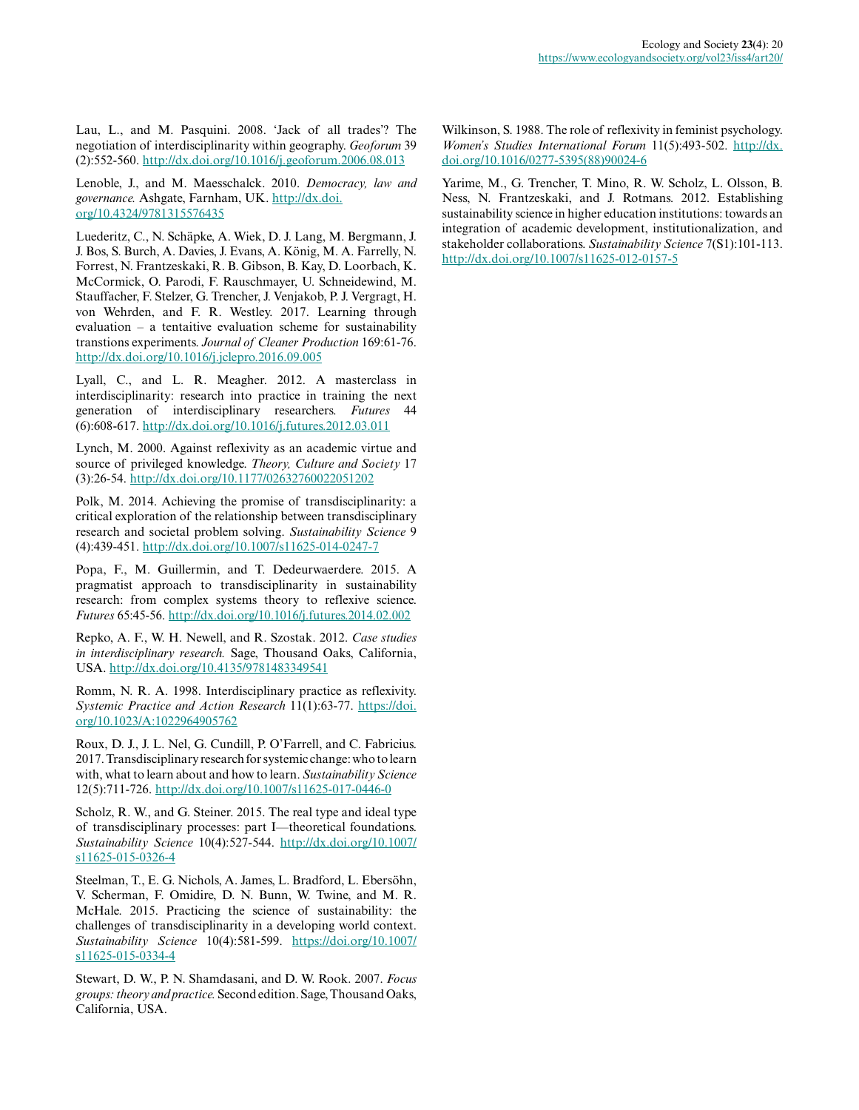Lau, L., and M. Pasquini. 2008. 'Jack of all trades'? The negotiation of interdisciplinarity within geography. *Geoforum* 39 (2):552-560. <http://dx.doi.org/10.1016/j.geoforum.2006.08.013>

Lenoble, J., and M. Maesschalck. 2010. *Democracy, law and governance.* Ashgate, Farnham, UK. [http://dx.doi.](http://dx.doi.org/10.4324/9781315576435) [org/10.4324/9781315576435](http://dx.doi.org/10.4324/9781315576435) 

Luederitz, C., N. Schäpke, A. Wiek, D. J. Lang, M. Bergmann, J. J. Bos, S. Burch, A. Davies, J. Evans, A. König, M. A. Farrelly, N. Forrest, N. Frantzeskaki, R. B. Gibson, B. Kay, D. Loorbach, K. McCormick, O. Parodi, F. Rauschmayer, U. Schneidewind, M. Stauffacher, F. Stelzer, G. Trencher, J. Venjakob, P. J. Vergragt, H. von Wehrden, and F. R. Westley. 2017. Learning through evaluation – a tentaitive evaluation scheme for sustainability transtions experiments. *Journal of Cleaner Production* 169:61-76. <http://dx.doi.org/10.1016/j.jclepro.2016.09.005>

Lyall, C., and L. R. Meagher. 2012. A masterclass in interdisciplinarity: research into practice in training the next generation of interdisciplinary researchers. *Futures* 44 (6):608-617. <http://dx.doi.org/10.1016/j.futures.2012.03.011>

Lynch, M. 2000. Against reflexivity as an academic virtue and source of privileged knowledge. *Theory, Culture and Society* 17 (3):26-54. <http://dx.doi.org/10.1177/02632760022051202>

Polk, M. 2014. Achieving the promise of transdisciplinarity: a critical exploration of the relationship between transdisciplinary research and societal problem solving. *Sustainability Science* 9 (4):439-451. <http://dx.doi.org/10.1007/s11625-014-0247-7>

Popa, F., M. Guillermin, and T. Dedeurwaerdere. 2015. A pragmatist approach to transdisciplinarity in sustainability research: from complex systems theory to reflexive science. *Futures* 65:45-56.<http://dx.doi.org/10.1016/j.futures.2014.02.002>

Repko, A. F., W. H. Newell, and R. Szostak. 2012. *Case studies in interdisciplinary research.* Sage, Thousand Oaks, California, USA.<http://dx.doi.org/10.4135/9781483349541>

Romm, N. R. A. 1998. Interdisciplinary practice as reflexivity. *Systemic Practice and Action Research* 11(1):63-77. [https://doi.](https://doi.org/10.1023/A:1022964905762) [org/10.1023/A:1022964905762](https://doi.org/10.1023/A:1022964905762)

Roux, D. J., J. L. Nel, G. Cundill, P. O'Farrell, and C. Fabricius. 2017. Transdisciplinary research for systemic change: who to learn with, what to learn about and how to learn. *Sustainability Science* 12(5):711-726. <http://dx.doi.org/10.1007/s11625-017-0446-0>

Scholz, R. W., and G. Steiner. 2015. The real type and ideal type of transdisciplinary processes: part I—theoretical foundations. *Sustainability Science* 10(4):527-544. [http://dx.doi.org/10.1007/](http://dx.doi.org/10.1007/s11625-015-0326-4) [s11625-015-0326-4](http://dx.doi.org/10.1007/s11625-015-0326-4) 

Steelman, T., E. G. Nichols, A. James, L. Bradford, L. Ebersöhn, V. Scherman, F. Omidire, D. N. Bunn, W. Twine, and M. R. McHale. 2015. Practicing the science of sustainability: the challenges of transdisciplinarity in a developing world context. *Sustainability Science* 10(4):581-599. [https://doi.org/10.1007/](https://doi.org/10.1007/s11625-015-0334-4) [s11625-015-0334-4](https://doi.org/10.1007/s11625-015-0334-4) 

Stewart, D. W., P. N. Shamdasani, and D. W. Rook. 2007. *Focus groups: theory and practice.* Second edition. Sage, Thousand Oaks, California, USA.

Wilkinson, S. 1988. The role of reflexivity in feminist psychology. *Women's Studies International Forum* 11(5):493-502. [http://dx.](http://dx.doi.org/10.1016/0277-5395%2888%2990024-6) [doi.org/10.1016/0277-5395\(88\)90024-6](http://dx.doi.org/10.1016/0277-5395%2888%2990024-6) 

Yarime, M., G. Trencher, T. Mino, R. W. Scholz, L. Olsson, B. Ness, N. Frantzeskaki, and J. Rotmans. 2012. Establishing sustainability science in higher education institutions: towards an integration of academic development, institutionalization, and stakeholder collaborations. *Sustainability Science* 7(S1):101-113. <http://dx.doi.org/10.1007/s11625-012-0157-5>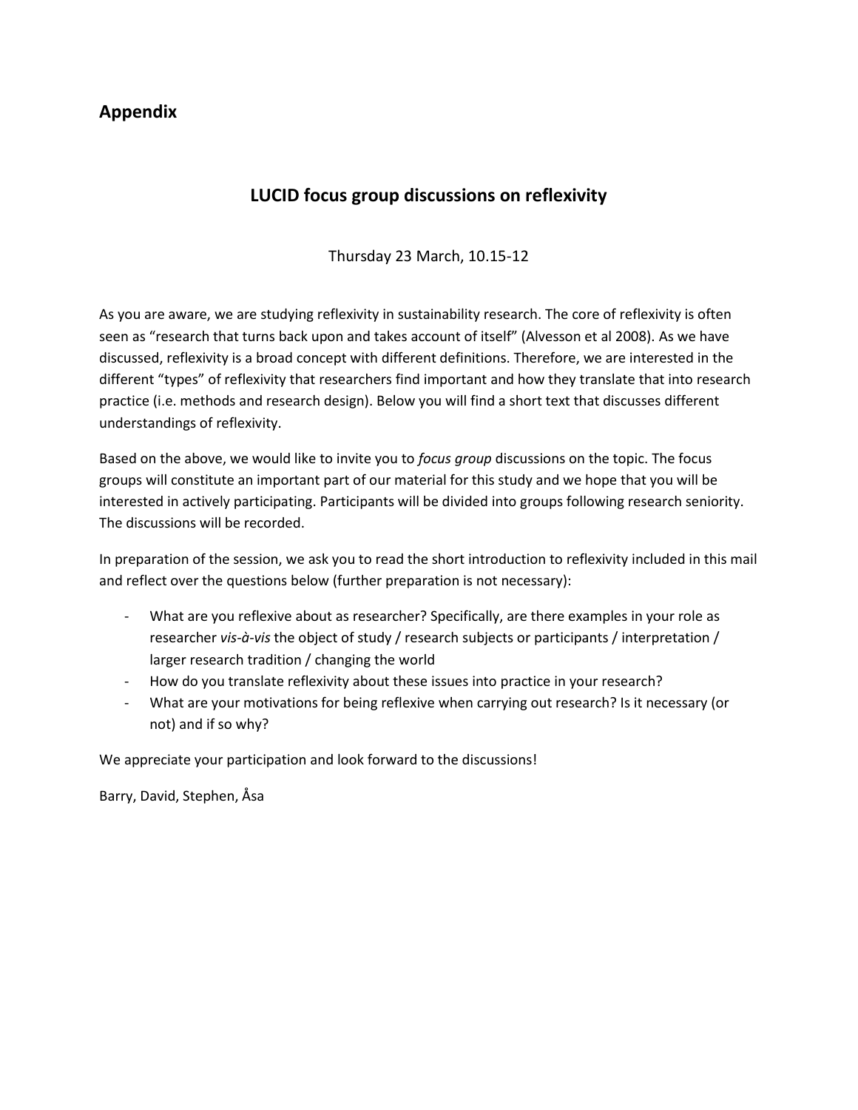## **Appendix**

# **LUCID focus group discussions on reflexivity**

Thursday 23 March, 10.15-12

As you are aware, we are studying reflexivity in sustainability research. The core of reflexivity is often seen as "research that turns back upon and takes account of itself" (Alvesson et al 2008). As we have discussed, reflexivity is a broad concept with different definitions. Therefore, we are interested in the different "types" of reflexivity that researchers find important and how they translate that into research practice (i.e. methods and research design). Below you will find a short text that discusses different understandings of reflexivity.

Based on the above, we would like to invite you to *focus group* discussions on the topic. The focus groups will constitute an important part of our material for this study and we hope that you will be interested in actively participating. Participants will be divided into groups following research seniority. The discussions will be recorded.

In preparation of the session, we ask you to read the short introduction to reflexivity included in this mail and reflect over the questions below (further preparation is not necessary):

- What are you reflexive about as researcher? Specifically, are there examples in your role as researcher *vis-à-vis* the object of study / research subjects or participants / interpretation / larger research tradition / changing the world
- How do you translate reflexivity about these issues into practice in your research?
- What are your motivations for being reflexive when carrying out research? Is it necessary (or not) and if so why?

We appreciate your participation and look forward to the discussions!

Barry, David, Stephen, Åsa